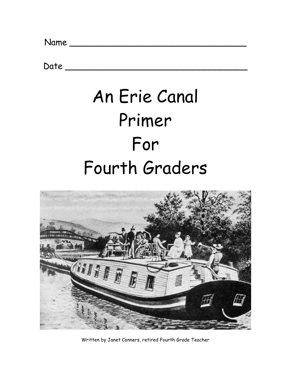$Date$   $\_\_$ 

# An Erie Canal Primer For Fourth Graders



Written by Janet Conners, retired Fourth Grade Teacher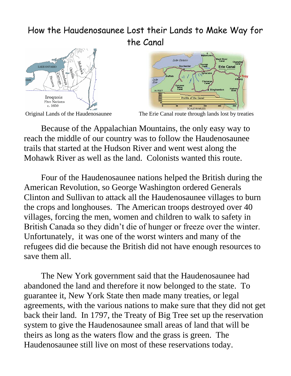# How the Haudenosaunee Lost their Lands to Make Way for the Canal





Original Lands of the Haudenosaunee The Erie Canal route through lands lost by treaties

Because of the Appalachian Mountains, the only easy way to reach the middle of our country was to follow the Haudenosaunee trails that started at the Hudson River and went west along the Mohawk River as well as the land. Colonists wanted this route.

Four of the Haudenosaunee nations helped the British during the American Revolution, so George Washington ordered Generals Clinton and Sullivan to attack all the Haudenosaunee villages to burn the crops and longhouses. The American troops destroyed over 40 villages, forcing the men, women and children to walk to safety in British Canada so they didn't die of hunger or freeze over the winter. Unfortunately, it was one of the worst winters and many of the refugees did die because the British did not have enough resources to save them all.

The New York government said that the Haudenosaunee had abandoned the land and therefore it now belonged to the state. To guarantee it, New York State then made many treaties, or legal agreements, with the various nations to make sure that they did not get back their land. In 1797, the Treaty of Big Tree set up the reservation system to give the Haudenosaunee small areas of land that will be theirs as long as the waters flow and the grass is green. The Haudenosaunee still live on most of these reservations today.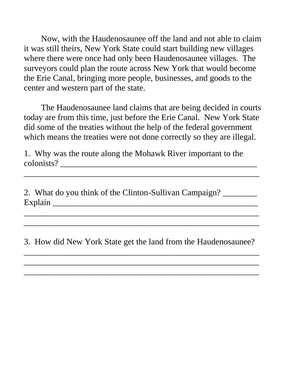Now, with the Haudenosaunee off the land and not able to claim it was still theirs, New York State could start building new villages where there were once had only been Haudenosaunee villages. The surveyors could plan the route across New York that would become the Erie Canal, bringing more people, businesses, and goods to the center and western part of the state.

The Haudenosaunee land claims that are being decided in courts today are from this time, just before the Erie Canal. New York State did some of the treaties without the help of the federal government which means the treaties were not done correctly so they are illegal.

\_\_\_\_\_\_\_\_\_\_\_\_\_\_\_\_\_\_\_\_\_\_\_\_\_\_\_\_\_\_\_\_\_\_\_\_\_\_\_\_\_\_\_\_\_\_\_\_\_\_\_\_\_\_\_

1. Why was the route along the Mohawk River important to the colonists? \_\_\_\_\_\_\_\_\_\_\_\_\_\_\_\_\_\_\_\_\_\_\_\_\_\_\_\_\_\_\_\_\_\_\_\_\_\_\_\_\_\_\_\_\_\_

2. What do you think of the Clinton-Sullivan Campaign? Explain \_\_\_\_\_\_\_\_\_\_\_\_\_\_\_\_\_\_\_\_\_\_\_\_\_\_\_\_\_\_\_\_\_\_\_\_\_\_\_\_\_\_\_\_\_\_\_\_ \_\_\_\_\_\_\_\_\_\_\_\_\_\_\_\_\_\_\_\_\_\_\_\_\_\_\_\_\_\_\_\_\_\_\_\_\_\_\_\_\_\_\_\_\_\_\_\_\_\_\_\_\_\_\_

3. How did New York State get the land from the Haudenosaunee?

\_\_\_\_\_\_\_\_\_\_\_\_\_\_\_\_\_\_\_\_\_\_\_\_\_\_\_\_\_\_\_\_\_\_\_\_\_\_\_\_\_\_\_\_\_\_\_\_\_\_\_\_\_\_\_

\_\_\_\_\_\_\_\_\_\_\_\_\_\_\_\_\_\_\_\_\_\_\_\_\_\_\_\_\_\_\_\_\_\_\_\_\_\_\_\_\_\_\_\_\_\_\_\_\_\_\_\_\_\_\_

\_\_\_\_\_\_\_\_\_\_\_\_\_\_\_\_\_\_\_\_\_\_\_\_\_\_\_\_\_\_\_\_\_\_\_\_\_\_\_\_\_\_\_\_\_\_\_\_\_\_\_\_\_\_\_

\_\_\_\_\_\_\_\_\_\_\_\_\_\_\_\_\_\_\_\_\_\_\_\_\_\_\_\_\_\_\_\_\_\_\_\_\_\_\_\_\_\_\_\_\_\_\_\_\_\_\_\_\_\_\_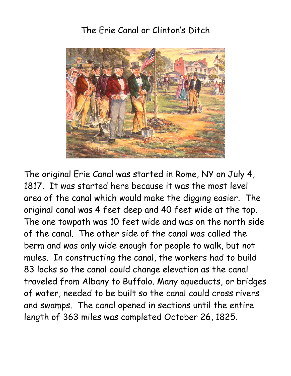# The Erie Canal or Clinton's Ditch



The original Erie Canal was started in Rome, NY on July 4, 1817. It was started here because it was the most level area of the canal which would make the digging easier. The original canal was 4 feet deep and 40 feet wide at the top. The one towpath was 10 feet wide and was on the north side of the canal. The other side of the canal was called the berm and was only wide enough for people to walk, but not mules. In constructing the canal, the workers had to build 83 locks so the canal could change elevation as the canal traveled from Albany to Buffalo. Many aqueducts, or bridges of water, needed to be built so the canal could cross rivers and swamps. The canal opened in sections until the entire length of 363 miles was completed October 26, 1825.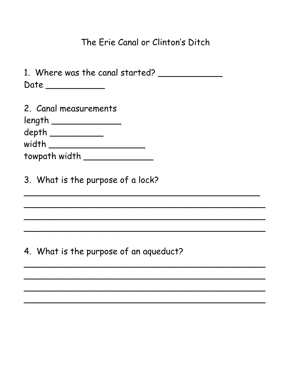## The Erie Canal or Clinton's Ditch

| 1. Where was the canal started? |  |
|---------------------------------|--|
| Date                            |  |

| 2. Canal measurements  |  |  |
|------------------------|--|--|
| $length$ <sub>__</sub> |  |  |
| $depth$ $\_$           |  |  |
| width _                |  |  |
| towpath width          |  |  |
|                        |  |  |

3. What is the purpose of a lock?

4. What is the purpose of an aqueduct?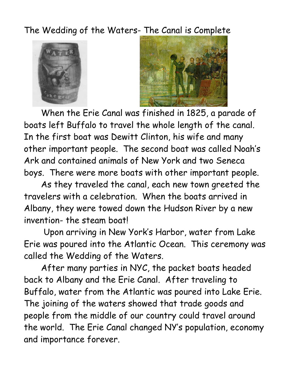The Wedding of the Waters- The Canal is Complete





When the Erie Canal was finished in 1825, a parade of boats left Buffalo to travel the whole length of the canal. In the first boat was Dewitt Clinton, his wife and many other important people. The second boat was called Noah's Ark and contained animals of New York and two Seneca boys. There were more boats with other important people.

As they traveled the canal, each new town greeted the travelers with a celebration. When the boats arrived in Albany, they were towed down the Hudson River by a new invention- the steam boat!

Upon arriving in New York's Harbor, water from Lake Erie was poured into the Atlantic Ocean. This ceremony was called the Wedding of the Waters.

After many parties in NYC, the packet boats headed back to Albany and the Erie Canal. After traveling to Buffalo, water from the Atlantic was poured into Lake Erie. The joining of the waters showed that trade goods and people from the middle of our country could travel around the world. The Erie Canal changed NY's population, economy and importance forever.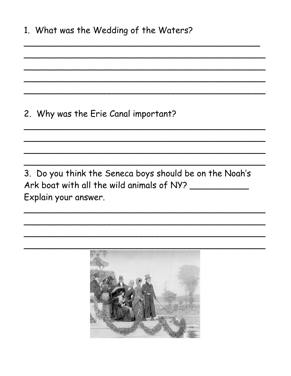# 2. Why was the Erie Canal important?

3. Do you think the Seneca boys should be on the Noah's Ark boat with all the wild animals of NY? Explain your answer.

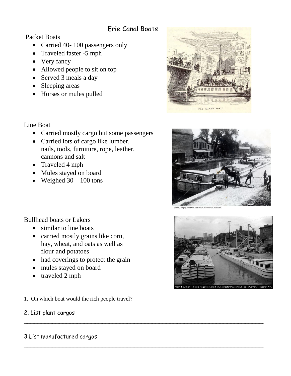#### Erie Canal Boats

Packet Boats

• Carried 40-100 passengers only

• Carried mostly cargo but some passengers

- Traveled faster -5 mph
- Very fancy
- Allowed people to sit on top
- Served 3 meals a day
- Sleeping areas
- Horses or mules pulled





Perinton Municipal Historian Collecti



• Carried lots of cargo like lumber, nails, tools, furniture, rope, leather,

Line Boat

- cannons and salt • Traveled 4 mph
- Mules stayed on board
- Weighed  $30 100$  tons

Bullhead boats or Lakers

- similar to line boats
- carried mostly grains like corn, hay, wheat, and oats as well as flour and potatoes
- had coverings to protect the grain
- mules stayed on board
- traveled 2 mph

1. On which boat would the rich people travel?

 $\sim$  . The contract of the contract of the contract of the contract of the contract of the contract of the contract of

 $\sim$  . The contract of the contract of the contract of the contract of the contract of the contract of the contract of

#### 2. List plant cargos

#### 3 List manufactured cargos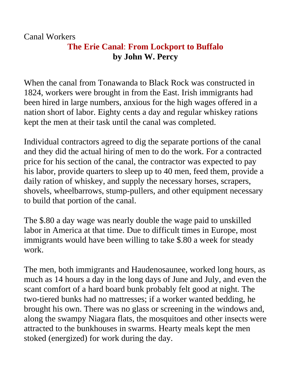Canal Workers

### **The Erie Canal**: **From Lockport to Buffalo by John W. Percy**

When the canal from Tonawanda to Black Rock was constructed in 1824, workers were brought in from the East. Irish immigrants had been hired in large numbers, anxious for the high wages offered in a nation short of labor. Eighty cents a day and regular whiskey rations kept the men at their task until the canal was completed.

Individual contractors agreed to dig the separate portions of the canal and they did the actual hiring of men to do the work. For a contracted price for his section of the canal, the contractor was expected to pay his labor, provide quarters to sleep up to 40 men, feed them, provide a daily ration of whiskey, and supply the necessary horses, scrapers, shovels, wheelbarrows, stump-pullers, and other equipment necessary to build that portion of the canal.

The \$.80 a day wage was nearly double the wage paid to unskilled labor in America at that time. Due to difficult times in Europe, most immigrants would have been willing to take \$.80 a week for steady work.

The men, both immigrants and Haudenosaunee, worked long hours, as much as 14 hours a day in the long days of June and July, and even the scant comfort of a hard board bunk probably felt good at night. The two-tiered bunks had no mattresses; if a worker wanted bedding, he brought his own. There was no glass or screening in the windows and, along the swampy Niagara flats, the mosquitoes and other insects were attracted to the bunkhouses in swarms. Hearty meals kept the men stoked (energized) for work during the day.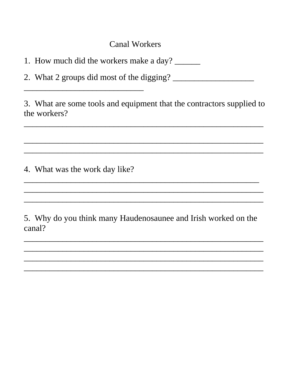**Canal Workers** 

1. How much did the workers make a day?

3. What are some tools and equipment that the contractors supplied to the workers?

4. What was the work day like?

5. Why do you think many Haudenosaunee and Irish worked on the canal?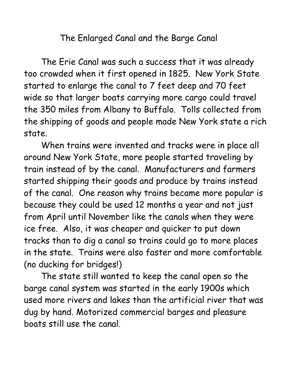The Enlarged Canal and the Barge Canal

The Erie Canal was such a success that it was already too crowded when it first opened in 1825. New York State started to enlarge the canal to 7 feet deep and 70 feet wide so that larger boats carrying more cargo could travel the 350 miles from Albany to Buffalo. Tolls collected from the shipping of goods and people made New York state a rich state.

When trains were invented and tracks were in place all around New York State, more people started traveling by train instead of by the canal. Manufacturers and farmers started shipping their goods and produce by trains instead of the canal. One reason why trains became more popular is because they could be used 12 months a year and not just from April until November like the canals when they were ice free. Also, it was cheaper and quicker to put down tracks than to dig a canal so trains could go to more places in the state. Trains were also faster and more comfortable (no ducking for bridges!)

The state still wanted to keep the canal open so the barge canal system was started in the early 1900s which used more rivers and lakes than the artificial river that was dug by hand. Motorized commercial barges and pleasure boats still use the canal.